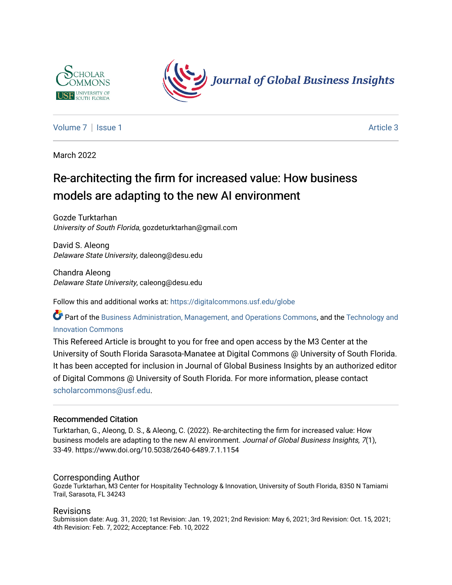



[Volume 7](https://digitalcommons.usf.edu/globe/vol7) | [Issue 1](https://digitalcommons.usf.edu/globe/vol7/iss1) Article 3

March 2022

# Re-architecting the firm for increased value: How business models are adapting to the new AI environment

Gozde Turktarhan University of South Florida, gozdeturktarhan@gmail.com

David S. Aleong Delaware State University, daleong@desu.edu

Chandra Aleong Delaware State University, caleong@desu.edu

Follow this and additional works at: [https://digitalcommons.usf.edu/globe](https://digitalcommons.usf.edu/globe?utm_source=digitalcommons.usf.edu%2Fglobe%2Fvol7%2Fiss1%2F3&utm_medium=PDF&utm_campaign=PDFCoverPages) 

Part of the [Business Administration, Management, and Operations Commons](http://network.bepress.com/hgg/discipline/623?utm_source=digitalcommons.usf.edu%2Fglobe%2Fvol7%2Fiss1%2F3&utm_medium=PDF&utm_campaign=PDFCoverPages), and the Technology and [Innovation Commons](http://network.bepress.com/hgg/discipline/644?utm_source=digitalcommons.usf.edu%2Fglobe%2Fvol7%2Fiss1%2F3&utm_medium=PDF&utm_campaign=PDFCoverPages)

This Refereed Article is brought to you for free and open access by the M3 Center at the University of South Florida Sarasota-Manatee at Digital Commons @ University of South Florida. It has been accepted for inclusion in Journal of Global Business Insights by an authorized editor of Digital Commons @ University of South Florida. For more information, please contact [scholarcommons@usf.edu.](mailto:scholarcommons@usf.edu)

#### Recommended Citation

Turktarhan, G., Aleong, D. S., & Aleong, C. (2022). Re-architecting the firm for increased value: How business models are adapting to the new AI environment. Journal of Global Business Insights, 7(1), 33-49. https://www.doi.org/10.5038/2640-6489.7.1.1154

#### Corresponding Author

Gozde Turktarhan, M3 Center for Hospitality Technology & Innovation, University of South Florida, 8350 N Tamiami Trail, Sarasota, FL 34243

#### Revisions

Submission date: Aug. 31, 2020; 1st Revision: Jan. 19, 2021; 2nd Revision: May 6, 2021; 3rd Revision: Oct. 15, 2021; 4th Revision: Feb. 7, 2022; Acceptance: Feb. 10, 2022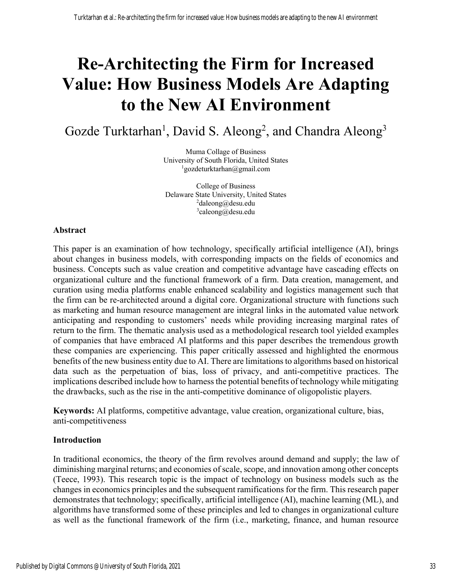# **Re-Architecting the Firm for Increased Value: How Business Models Are Adapting to the New AI Environment**

Gozde Turktarhan<sup>1</sup>, David S. Aleong<sup>2</sup>, and Chandra Aleong<sup>3</sup>

Muma Collage of Business University of South Florida, United States 1 gozdeturktarhan@gmail.com

College of Business Delaware State University, United States <sup>2</sup>daleong@desu.edu 3 caleong@desu.edu

#### **Abstract**

This paper is an examination of how technology, specifically artificial intelligence (AI), brings about changes in business models, with corresponding impacts on the fields of economics and business. Concepts such as value creation and competitive advantage have cascading effects on organizational culture and the functional framework of a firm. Data creation, management, and curation using media platforms enable enhanced scalability and logistics management such that the firm can be re-architected around a digital core. Organizational structure with functions such as marketing and human resource management are integral links in the automated value network anticipating and responding to customers' needs while providing increasing marginal rates of return to the firm. The thematic analysis used as a methodological research tool yielded examples of companies that have embraced AI platforms and this paper describes the tremendous growth these companies are experiencing. This paper critically assessed and highlighted the enormous benefits of the new business entity due to AI. There are limitations to algorithms based on historical data such as the perpetuation of bias, loss of privacy, and anti-competitive practices. The implications described include how to harness the potential benefits of technology while mitigating the drawbacks, such as the rise in the anti-competitive dominance of oligopolistic players.

**Keywords:** AI platforms, competitive advantage, value creation, organizational culture, bias, anti-competitiveness

#### **Introduction**

In traditional economics, the theory of the firm revolves around demand and supply; the law of diminishing marginal returns; and economies of scale, scope, and innovation among other concepts (Teece, 1993). This research topic is the impact of technology on business models such as the changes in economics principles and the subsequent ramifications for the firm. This research paper demonstrates that technology; specifically, artificial intelligence (AI), machine learning (ML), and algorithms have transformed some of these principles and led to changes in organizational culture as well as the functional framework of the firm (i.e., marketing, finance, and human resource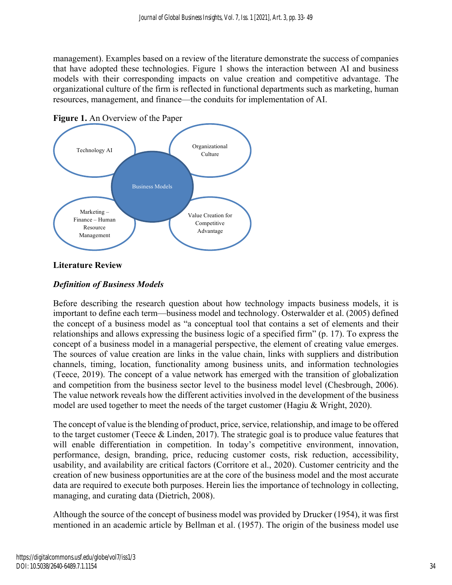management). Examples based on a review of the literature demonstrate the success of companies that have adopted these technologies. Figure 1 shows the interaction between AI and business models with their corresponding impacts on value creation and competitive advantage. The organizational culture of the firm is reflected in functional departments such as marketing, human resources, management, and finance—the conduits for implementation of AI.



**Figure 1.** An Overview of the Paper

# **Literature Review**

# *Definition of Business Models*

Before describing the research question about how technology impacts business models, it is important to define each term—business model and technology. Osterwalder et al. (2005) defined the concept of a business model as "a conceptual tool that contains a set of elements and their relationships and allows expressing the business logic of a specified firm" (p. 17). To express the concept of a business model in a managerial perspective, the element of creating value emerges. The sources of value creation are links in the value chain, links with suppliers and distribution channels, timing, location, functionality among business units, and information technologies (Teece, 2019). The concept of a value network has emerged with the transition of globalization and competition from the business sector level to the business model level (Chesbrough, 2006). The value network reveals how the different activities involved in the development of the business model are used together to meet the needs of the target customer (Hagiu & Wright, 2020).

The concept of value is the blending of product, price, service, relationship, and image to be offered to the target customer (Teece & Linden, 2017). The strategic goal is to produce value features that will enable differentiation in competition. In today's competitive environment, innovation, performance, design, branding, price, reducing customer costs, risk reduction, accessibility, usability, and availability are critical factors (Corritore et al., 2020). Customer centricity and the creation of new business opportunities are at the core of the business model and the most accurate data are required to execute both purposes. Herein lies the importance of technology in collecting, managing, and curating data (Dietrich, 2008).

Although the source of the concept of business model was provided by Drucker (1954), it was first mentioned in an academic article by Bellman et al. (1957). The origin of the business model use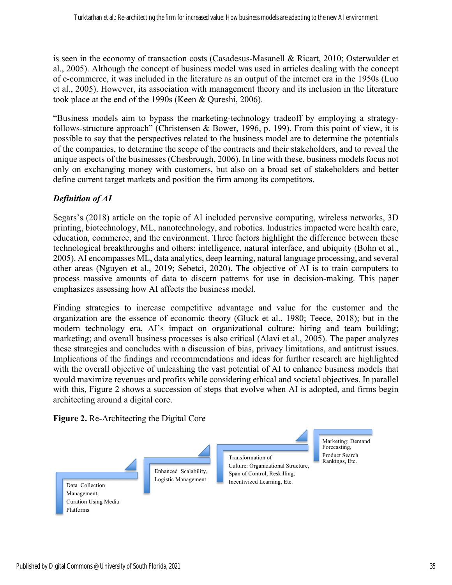is seen in the economy of transaction costs (Casadesus-Masanell & Ricart, 2010; Osterwalder et al., 2005). Although the concept of business model was used in articles dealing with the concept of e-commerce, it was included in the literature as an output of the internet era in the 1950s (Luo et al., 2005). However, its association with management theory and its inclusion in the literature took place at the end of the 1990s (Keen & Qureshi, 2006).

"Business models aim to bypass the marketing-technology tradeoff by employing a strategyfollows-structure approach" (Christensen & Bower, 1996, p. 199). From this point of view, it is possible to say that the perspectives related to the business model are to determine the potentials of the companies, to determine the scope of the contracts and their stakeholders, and to reveal the unique aspects of the businesses (Chesbrough, 2006). In line with these, business models focus not only on exchanging money with customers, but also on a broad set of stakeholders and better define current target markets and position the firm among its competitors.

# *Definition of AI*

Segars's (2018) article on the topic of AI included pervasive computing, wireless networks, 3D printing, biotechnology, ML, nanotechnology, and robotics. Industries impacted were health care, education, commerce, and the environment. Three factors highlight the difference between these technological breakthroughs and others: intelligence, natural interface, and ubiquity (Bohn et al., 2005). AI encompasses ML, data analytics, deep learning, natural language processing, and several other areas (Nguyen et al., 2019; Sebetci, 2020). The objective of AI is to train computers to process massive amounts of data to discern patterns for use in decision-making. This paper emphasizes assessing how AI affects the business model.

Finding strategies to increase competitive advantage and value for the customer and the organization are the essence of economic theory (Gluck et al., 1980; Teece, 2018); but in the modern technology era, AI's impact on organizational culture; hiring and team building; marketing; and overall business processes is also critical (Alavi et al., 2005). The paper analyzes these strategies and concludes with a discussion of bias, privacy limitations, and antitrust issues. Implications of the findings and recommendations and ideas for further research are highlighted with the overall objective of unleashing the vast potential of AI to enhance business models that would maximize revenues and profits while considering ethical and societal objectives. In parallel with this, Figure 2 shows a succession of steps that evolve when AI is adopted, and firms begin architecting around a digital core.

**Figure 2.** Re-Architecting the Digital Core

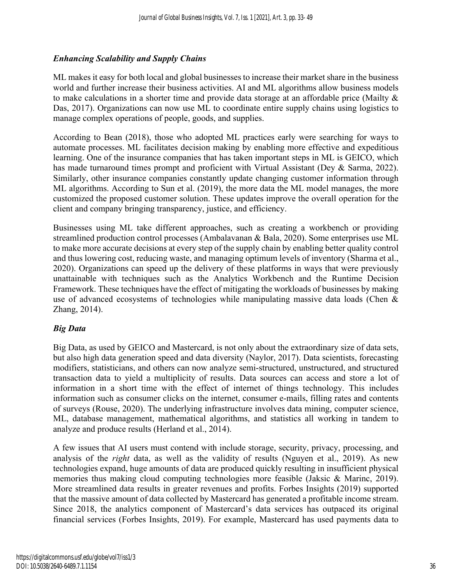# *Enhancing Scalability and Supply Chains*

ML makes it easy for both local and global businesses to increase their market share in the business world and further increase their business activities. AI and ML algorithms allow business models to make calculations in a shorter time and provide data storage at an affordable price (Mailty & Das, 2017). Organizations can now use ML to coordinate entire supply chains using logistics to manage complex operations of people, goods, and supplies.

According to Bean (2018), those who adopted ML practices early were searching for ways to automate processes. ML facilitates decision making by enabling more effective and expeditious learning. One of the insurance companies that has taken important steps in ML is GEICO, which has made turnaround times prompt and proficient with Virtual Assistant (Dey & Sarma, 2022). Similarly, other insurance companies constantly update changing customer information through ML algorithms. According to Sun et al. (2019), the more data the ML model manages, the more customized the proposed customer solution. These updates improve the overall operation for the client and company bringing transparency, justice, and efficiency.

Businesses using ML take different approaches, such as creating a workbench or providing streamlined production control processes (Ambalavanan & Bala, 2020). Some enterprises use ML to make more accurate decisions at every step of the supply chain by enabling better quality control and thus lowering cost, reducing waste, and managing optimum levels of inventory (Sharma et al., 2020). Organizations can speed up the delivery of these platforms in ways that were previously unattainable with techniques such as the Analytics Workbench and the Runtime Decision Framework. These techniques have the effect of mitigating the workloads of businesses by making use of advanced ecosystems of technologies while manipulating massive data loads (Chen & Zhang, 2014).

# *Big Data*

Big Data, as used by GEICO and Mastercard, is not only about the extraordinary size of data sets, but also high data generation speed and data diversity (Naylor, 2017). Data scientists, forecasting modifiers, statisticians, and others can now analyze semi-structured, unstructured, and structured transaction data to yield a multiplicity of results. Data sources can access and store a lot of information in a short time with the effect of internet of things technology. This includes information such as consumer clicks on the internet, consumer e-mails, filling rates and contents of surveys (Rouse, 2020). The underlying infrastructure involves data mining, computer science, ML, database management, mathematical algorithms, and statistics all working in tandem to analyze and produce results (Herland et al., 2014).

A few issues that AI users must contend with include storage, security, privacy, processing, and analysis of the *right* data, as well as the validity of results (Nguyen et al., 2019). As new technologies expand, huge amounts of data are produced quickly resulting in insufficient physical memories thus making cloud computing technologies more feasible (Jaksic & Marinc, 2019). More streamlined data results in greater revenues and profits. Forbes Insights (2019) supported that the massive amount of data collected by Mastercard has generated a profitable income stream. Since 2018, the analytics component of Mastercard's data services has outpaced its original financial services (Forbes Insights, 2019). For example, Mastercard has used payments data to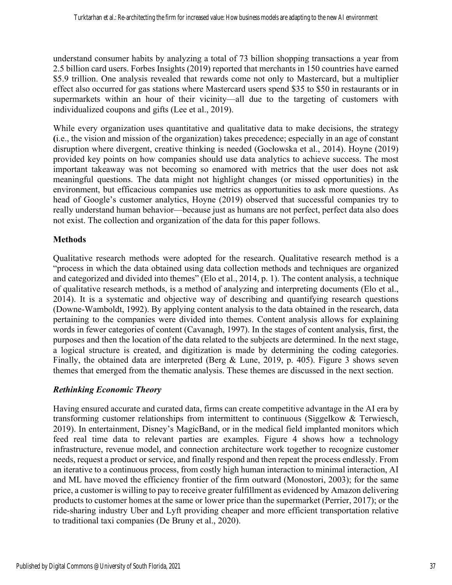understand consumer habits by analyzing a total of 73 billion shopping transactions a year from 2.5 billion card users. Forbes Insights (2019) reported that merchants in 150 countries have earned \$5.9 trillion. One analysis revealed that rewards come not only to Mastercard, but a multiplier effect also occurred for gas stations where Mastercard users spend \$35 to \$50 in restaurants or in supermarkets within an hour of their vicinity—all due to the targeting of customers with individualized coupons and gifts (Lee et al., 2019).

While every organization uses quantitative and qualitative data to make decisions, the strategy **(**i.e., the vision and mission of the organization) takes precedence; especially in an age of constant disruption where divergent, creative thinking is needed (Gocłowska et al., 2014). Hoyne (2019) provided key points on how companies should use data analytics to achieve success. The most important takeaway was not becoming so enamored with metrics that the user does not ask meaningful questions. The data might not highlight changes (or missed opportunities) in the environment, but efficacious companies use metrics as opportunities to ask more questions. As head of Google's customer analytics, Hoyne (2019) observed that successful companies try to really understand human behavior—because just as humans are not perfect, perfect data also does not exist. The collection and organization of the data for this paper follows.

# **Methods**

Qualitative research methods were adopted for the research. Qualitative research method is a "process in which the data obtained using data collection methods and techniques are organized and categorized and divided into themes" (Elo et al., 2014, p. 1). The content analysis, a technique of qualitative research methods, is a method of analyzing and interpreting documents (Elo et al., 2014). It is a systematic and objective way of describing and quantifying research questions (Downe-Wamboldt, 1992). By applying content analysis to the data obtained in the research, data pertaining to the companies were divided into themes. Content analysis allows for explaining words in fewer categories of content (Cavanagh, 1997). In the stages of content analysis, first, the purposes and then the location of the data related to the subjects are determined. In the next stage, a logical structure is created, and digitization is made by determining the coding categories. Finally, the obtained data are interpreted (Berg & Lune, 2019, p. 405). Figure 3 shows seven themes that emerged from the thematic analysis. These themes are discussed in the next section.

# *Rethinking Economic Theory*

Having ensured accurate and curated data, firms can create competitive advantage in the AI era by transforming customer relationships from intermittent to continuous (Siggelkow & Terwiesch, 2019). In entertainment, Disney's MagicBand, or in the medical field implanted monitors which feed real time data to relevant parties are examples. Figure 4 shows how a technology infrastructure, revenue model, and connection architecture work together to recognize customer needs, request a product or service, and finally respond and then repeat the process endlessly. From an iterative to a continuous process, from costly high human interaction to minimal interaction, AI and ML have moved the efficiency frontier of the firm outward (Monostori, 2003); for the same price, a customer is willing to pay to receive greater fulfillment as evidenced by Amazon delivering products to customer homes at the same or lower price than the supermarket (Perrier, 2017); or the ride-sharing industry Uber and Lyft providing cheaper and more efficient transportation relative to traditional taxi companies (De Bruny et al., 2020).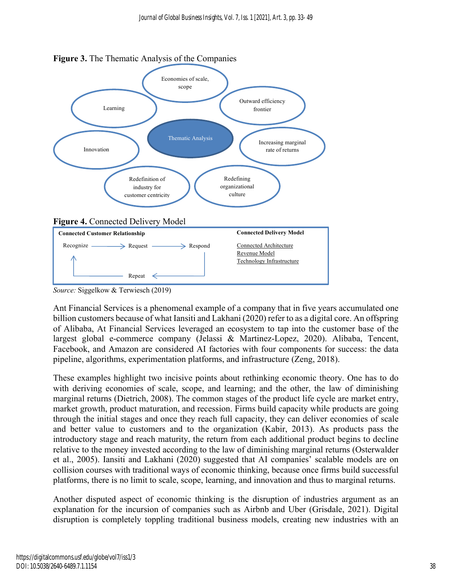

**Figure 3.** The Thematic Analysis of the Companies

*Source:* Siggelkow & Terwiesch (2019)

Ant Financial Services is a phenomenal example of a company that in five years accumulated one billion customers because of what Iansiti and Lakhani (2020) refer to as a digital core. An offspring of Alibaba, At Financial Services leveraged an ecosystem to tap into the customer base of the largest global e-commerce company (Jelassi & Martinez-Lopez, 2020). Alibaba, Tencent, Facebook, and Amazon are considered AI factories with four components for success: the data pipeline, algorithms, experimentation platforms, and infrastructure (Zeng, 2018).

These examples highlight two incisive points about rethinking economic theory. One has to do with deriving economies of scale, scope, and learning; and the other, the law of diminishing marginal returns (Dietrich, 2008). The common stages of the product life cycle are market entry, market growth, product maturation, and recession. Firms build capacity while products are going through the initial stages and once they reach full capacity, they can deliver economies of scale and better value to customers and to the organization (Kabir, 2013). As products pass the introductory stage and reach maturity, the return from each additional product begins to decline relative to the money invested according to the law of diminishing marginal returns (Osterwalder et al., 2005). Iansiti and Lakhani (2020) suggested that AI companies' scalable models are on collision courses with traditional ways of economic thinking, because once firms build successful platforms, there is no limit to scale, scope, learning, and innovation and thus to marginal returns.

Another disputed aspect of economic thinking is the disruption of industries argument as an explanation for the incursion of companies such as Airbnb and Uber (Grisdale, 2021). Digital disruption is completely toppling traditional business models, creating new industries with an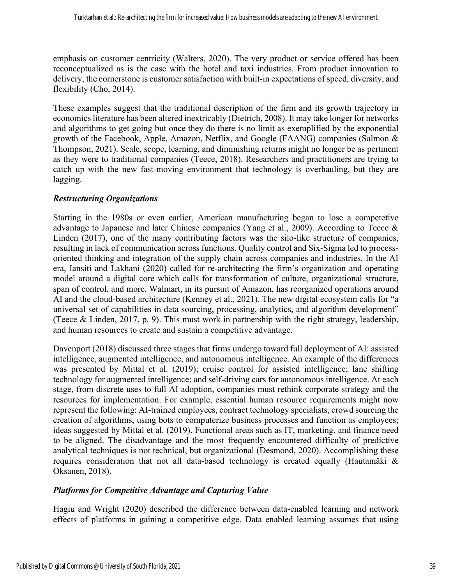emphasis on customer centricity (Walters, 2020). The very product or service offered has been reconceptualized as is the case with the hotel and taxi industries. From product innovation to delivery, the cornerstone is customer satisfaction with built-in expectations of speed, diversity, and flexibility (Cho, 2014).

These examples suggest that the traditional description of the firm and its growth trajectory in economics literature has been altered inextricably (Dietrich, 2008). It may take longer for networks and algorithms to get going but once they do there is no limit as exemplified by the exponential growth of the Facebook, Apple, Amazon, Netflix, and Google (FAANG) companies (Salmon & Thompson, 2021). Scale, scope, learning, and diminishing returns might no longer be as pertinent as they were to traditional companies (Teece, 2018). Researchers and practitioners are trying to catch up with the new fast-moving environment that technology is overhauling, but they are lagging.

# *Restructuring Organizations*

Starting in the 1980s or even earlier, American manufacturing began to lose a competetive advantage to Japanese and later Chinese companies (Yang et al., 2009). According to Teece & Linden (2017), one of the many contributing factors was the silo-like structure of companies, resulting in lack of communication across functions. Quality control and Six-Sigma led to processoriented thinking and integration of the supply chain across companies and industries. In the AI era, Iansiti and Lakhani (2020) called for re-architecting the firm's organization and operating model around a digital core which calls for transformation of culture, organizational structure, span of control, and more. Walmart, in its pursuit of Amazon, has reorganized operations around AI and the cloud-based architecture (Kenney et al., 2021). The new digital ecosystem calls for "a universal set of capabilities in data sourcing, processing, analytics, and algorithm development" (Teece & Linden, 2017, p. 9). This must work in partnership with the right strategy, leadership, and human resources to create and sustain a competitive advantage.

Davenport (2018) discussed three stages that firms undergo toward full deployment of AI: assisted intelligence, augmented intelligence, and autonomous intelligence. An example of the differences was presented by Mittal et al. (2019); cruise control for assisted intelligence; lane shifting technology for augmented intelligence; and self-driving cars for autonomous intelligence. At each stage, from discrete uses to full AI adoption, companies must rethink corporate strategy and the resources for implementation. For example, essential human resource requirements might now represent the following: AI-trained employees, contract technology specialists, crowd sourcing the creation of algorithms, using bots to computerize business processes and function as employees; ideas suggested by Mittal et al. (2019). Functional areas such as IT, marketing, and finance need to be aligned. The disadvantage and the most frequently encountered difficulty of predictive analytical techniques is not technical, but organizational (Desmond, 2020). Accomplishing these requires consideration that not all data-based technology is created equally (Hautamäki & Oksanen, 2018).

# *Platforms for Competitive Advantage and Capturing Value*

Hagiu and Wright (2020) described the difference between data-enabled learning and network effects of platforms in gaining a competitive edge. Data enabled learning assumes that using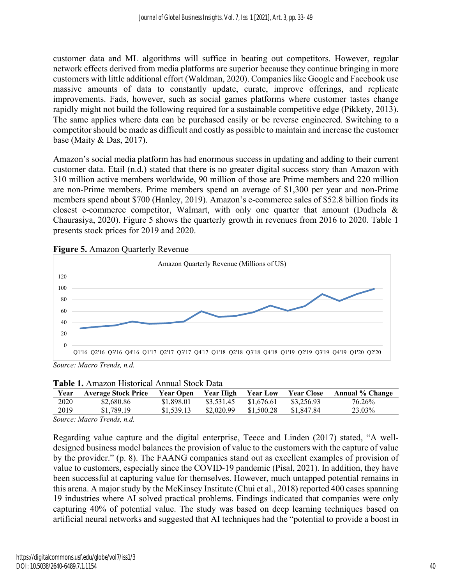customer data and ML algorithms will suffice in beating out competitors. However, regular network effects derived from media platforms are superior because they continue bringing in more customers with little additional effort (Waldman, 2020). Companies like Google and Facebook use massive amounts of data to constantly update, curate, improve offerings, and replicate improvements. Fads, however, such as social games platforms where customer tastes change rapidly might not build the following required for a sustainable competitive edge (Pikkety, 2013). The same applies where data can be purchased easily or be reverse engineered. Switching to a competitor should be made as difficult and costly as possible to maintain and increase the customer base (Maity & Das, 2017).

Amazon's social media platform has had enormous success in updating and adding to their current customer data. Etail (n.d.) stated that there is no greater digital success story than Amazon with 310 million active members worldwide, 90 million of those are Prime members and 220 million are non-Prime members. Prime members spend an average of \$1,300 per year and non-Prime members spend about \$700 (Hanley, 2019). Amazon's e-commerce sales of \$52.8 billion finds its closest e-commerce competitor, Walmart, with only one quarter that amount (Dudhela & Chaurasiya, 2020). Figure 5 shows the quarterly growth in revenues from 2016 to 2020. Table 1 presents stock prices for 2019 and 2020.



**Figure 5.** Amazon Quarterly Revenue

*Source: Macro Trends, n.d.*

| Table 1. Amazon Historical Annual Stock Data |
|----------------------------------------------|
|----------------------------------------------|

| Year | <b>Average Stock Price</b> | <b>Year Open</b> | Year High  | <b>Year Low</b> | <b>Year Close</b> | <b>Annual % Change</b> |  |
|------|----------------------------|------------------|------------|-----------------|-------------------|------------------------|--|
| 2020 | \$2,680.86                 | \$1,898.01       | \$3,531.45 | \$1,676.61      | \$3,256.93        | 76.26%                 |  |
| 2019 | \$1,789.19                 | \$1,539.13       | \$2,020.99 | \$1,500.28      | \$1,847.84        | 23.03%                 |  |
| ____ |                            |                  |            |                 |                   |                        |  |

*Source: Macro Trends, n.d.*

Regarding value capture and the digital enterprise, Teece and Linden (2017) stated, "A welldesigned business model balances the provision of value to the customers with the capture of value by the provider." (p. 8). The FAANG companies stand out as excellent examples of provision of value to customers, especially since the COVID-19 pandemic (Pisal, 2021). In addition, they have been successful at capturing value for themselves. However, much untapped potential remains in this arena. A major study by the McKinsey Institute (Chui et al., 2018) reported 400 cases spanning 19 industries where AI solved practical problems. Findings indicated that companies were only capturing 40% of potential value. The study was based on deep learning techniques based on artificial neural networks and suggested that AI techniques had the "potential to provide a boost in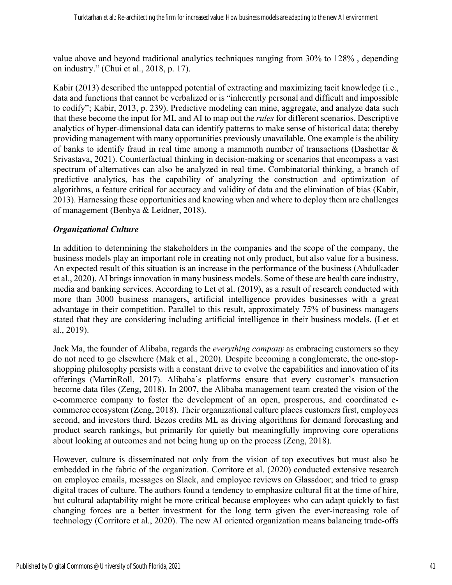value above and beyond traditional analytics techniques ranging from 30% to 128% , depending on industry." (Chui et al., 2018, p. 17).

Kabir (2013) described the untapped potential of extracting and maximizing tacit knowledge (i.e., data and functions that cannot be verbalized or is "inherently personal and difficult and impossible to codify"; Kabir, 2013, p. 239). Predictive modeling can mine, aggregate, and analyze data such that these become the input for ML and AI to map out the *rules* for different scenarios. Descriptive analytics of hyper-dimensional data can identify patterns to make sense of historical data; thereby providing management with many opportunities previously unavailable. One example is the ability of banks to identify fraud in real time among a mammoth number of transactions (Dashottar & Srivastava, 2021). Counterfactual thinking in decision-making or scenarios that encompass a vast spectrum of alternatives can also be analyzed in real time. Combinatorial thinking, a branch of predictive analytics, has the capability of analyzing the construction and optimization of algorithms, a feature critical for accuracy and validity of data and the elimination of bias (Kabir, 2013). Harnessing these opportunities and knowing when and where to deploy them are challenges of management (Benbya & Leidner, 2018).

# *Organizational Culture*

In addition to determining the stakeholders in the companies and the scope of the company, the business models play an important role in creating not only product, but also value for a business. An expected result of this situation is an increase in the performance of the business (Abdulkader et al., 2020). AI brings innovation in many business models. Some of these are health care industry, media and banking services. According to Let et al. (2019), as a result of research conducted with more than 3000 business managers, artificial intelligence provides businesses with a great advantage in their competition. Parallel to this result, approximately 75% of business managers stated that they are considering including artificial intelligence in their business models. (Let et al., 2019).

Jack Ma, the founder of Alibaba, regards the *everything company* as embracing customers so they do not need to go elsewhere (Mak et al., 2020). Despite becoming a conglomerate, the one-stopshopping philosophy persists with a constant drive to evolve the capabilities and innovation of its offerings (MartinRoll, 2017). Alibaba's platforms ensure that every customer's transaction become data files (Zeng, 2018). In 2007, the Alibaba management team created the vision of the e-commerce company to foster the development of an open, prosperous, and coordinated ecommerce ecosystem (Zeng, 2018). Their organizational culture places customers first, employees second, and investors third. Bezos credits ML as driving algorithms for demand forecasting and product search rankings, but primarily for quietly but meaningfully improving core operations about looking at outcomes and not being hung up on the process (Zeng, 2018).

However, culture is disseminated not only from the vision of top executives but must also be embedded in the fabric of the organization. Corritore et al. (2020) conducted extensive research on employee emails, messages on Slack, and employee reviews on Glassdoor; and tried to grasp digital traces of culture. The authors found a tendency to emphasize cultural fit at the time of hire, but cultural adaptability might be more critical because employees who can adapt quickly to fast changing forces are a better investment for the long term given the ever-increasing role of technology (Corritore et al., 2020). The new AI oriented organization means balancing trade-offs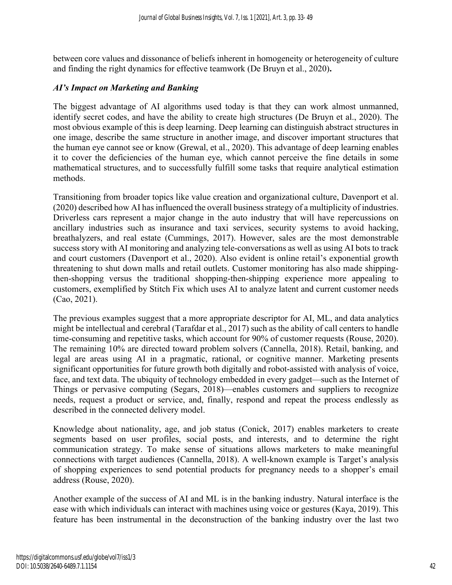between core values and dissonance of beliefs inherent in homogeneity or heterogeneity of culture and finding the right dynamics for effective teamwork (De Bruyn et al., 2020)**.**

#### *AI's Impact on Marketing and Banking*

The biggest advantage of AI algorithms used today is that they can work almost unmanned, identify secret codes, and have the ability to create high structures (De Bruyn et al., 2020). The most obvious example of this is deep learning. Deep learning can distinguish abstract structures in one image, describe the same structure in another image, and discover important structures that the human eye cannot see or know (Grewal, et al., 2020). This advantage of deep learning enables it to cover the deficiencies of the human eye, which cannot perceive the fine details in some mathematical structures, and to successfully fulfill some tasks that require analytical estimation methods.

Transitioning from broader topics like value creation and organizational culture, Davenport et al. (2020) described how AI has influenced the overall business strategy of a multiplicity of industries. Driverless cars represent a major change in the auto industry that will have repercussions on ancillary industries such as insurance and taxi services, security systems to avoid hacking, breathalyzers, and real estate (Cummings, 2017). However, sales are the most demonstrable success story with AI monitoring and analyzing tele-conversations as well as using AI bots to track and court customers (Davenport et al., 2020). Also evident is online retail's exponential growth threatening to shut down malls and retail outlets. Customer monitoring has also made shippingthen-shopping versus the traditional shopping-then-shipping experience more appealing to customers, exemplified by Stitch Fix which uses AI to analyze latent and current customer needs (Cao, 2021).

The previous examples suggest that a more appropriate descriptor for AI, ML, and data analytics might be intellectual and cerebral (Tarafdar et al., 2017) such as the ability of call centers to handle time-consuming and repetitive tasks, which account for 90% of customer requests (Rouse, 2020). The remaining 10% are directed toward problem solvers (Cannella, 2018). Retail, banking, and legal are areas using AI in a pragmatic, rational, or cognitive manner. Marketing presents significant opportunities for future growth both digitally and robot-assisted with analysis of voice, face, and text data. The ubiquity of technology embedded in every gadget—such as the Internet of Things or pervasive computing (Segars, 2018)—enables customers and suppliers to recognize needs, request a product or service, and, finally, respond and repeat the process endlessly as described in the connected delivery model.

Knowledge about nationality, age, and job status (Conick, 2017) enables marketers to create segments based on user profiles, social posts, and interests, and to determine the right communication strategy. To make sense of situations allows marketers to make meaningful connections with target audiences (Cannella, 2018). A well-known example is Target's analysis of shopping experiences to send potential products for pregnancy needs to a shopper's email address (Rouse, 2020).

Another example of the success of AI and ML is in the banking industry. Natural interface is the ease with which individuals can interact with machines using voice or gestures (Kaya, 2019). This feature has been instrumental in the deconstruction of the banking industry over the last two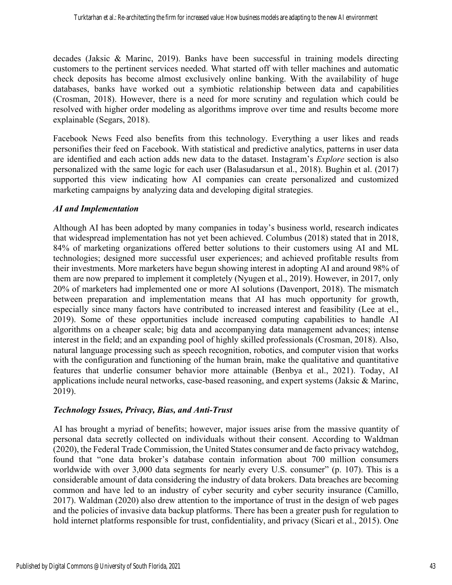decades (Jaksic & Marinc, 2019). Banks have been successful in training models directing customers to the pertinent services needed. What started off with teller machines and automatic check deposits has become almost exclusively online banking. With the availability of huge databases, banks have worked out a symbiotic relationship between data and capabilities (Crosman, 2018). However, there is a need for more scrutiny and regulation which could be resolved with higher order modeling as algorithms improve over time and results become more explainable (Segars, 2018).

Facebook News Feed also benefits from this technology. Everything a user likes and reads personifies their feed on Facebook. With statistical and predictive analytics, patterns in user data are identified and each action adds new data to the dataset. Instagram's *Explore* section is also personalized with the same logic for each user (Balasudarsun et al., 2018). Bughin et al. (2017) supported this view indicating how AI companies can create personalized and customized marketing campaigns by analyzing data and developing digital strategies.

#### *AI and Implementation*

Although AI has been adopted by many companies in today's business world, research indicates that widespread implementation has not yet been achieved. Columbus (2018) stated that in 2018, 84% of marketing organizations offered better solutions to their customers using AI and ML technologies; designed more successful user experiences; and achieved profitable results from their investments. More marketers have begun showing interest in adopting AI and around 98% of them are now prepared to implement it completely (Nyugen et al., 2019). However, in 2017, only 20% of marketers had implemented one or more AI solutions (Davenport, 2018). The mismatch between preparation and implementation means that AI has much opportunity for growth, especially since many factors have contributed to increased interest and feasibility (Lee at el., 2019). Some of these opportunities include increased computing capabilities to handle AI algorithms on a cheaper scale; big data and accompanying data management advances; intense interest in the field; and an expanding pool of highly skilled professionals (Crosman, 2018). Also, natural language processing such as speech recognition, robotics, and computer vision that works with the configuration and functioning of the human brain, make the qualitative and quantitative features that underlie consumer behavior more attainable (Benbya et al., 2021). Today, AI applications include neural networks, case-based reasoning, and expert systems (Jaksic & Marinc, 2019).

#### *Technology Issues, Privacy, Bias, and Anti-Trust*

AI has brought a myriad of benefits; however, major issues arise from the massive quantity of personal data secretly collected on individuals without their consent. According to Waldman (2020), the Federal Trade Commission, the United States consumer and de facto privacy watchdog, found that "one data broker's database contain information about 700 million consumers worldwide with over 3,000 data segments for nearly every U.S. consumer" (p. 107). This is a considerable amount of data considering the industry of data brokers. Data breaches are becoming common and have led to an industry of cyber security and cyber security insurance (Camillo, 2017). Waldman (2020) also drew attention to the importance of trust in the design of web pages and the policies of invasive data backup platforms. There has been a greater push for regulation to hold internet platforms responsible for trust, confidentiality, and privacy (Sicari et al., 2015). One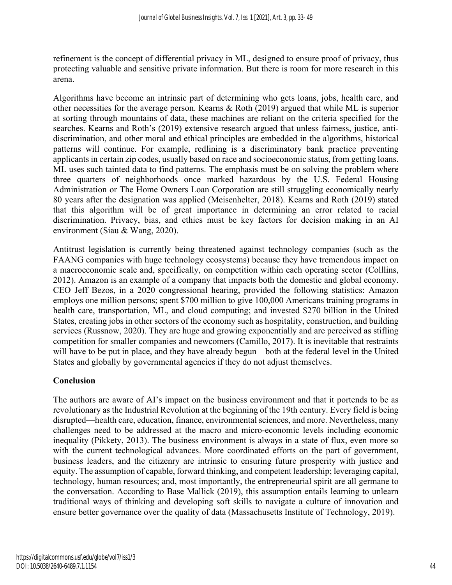refinement is the concept of differential privacy in ML, designed to ensure proof of privacy, thus protecting valuable and sensitive private information. But there is room for more research in this arena.

Algorithms have become an intrinsic part of determining who gets loans, jobs, health care, and other necessities for the average person. Kearns & Roth (2019) argued that while ML is superior at sorting through mountains of data, these machines are reliant on the criteria specified for the searches. Kearns and Roth's (2019) extensive research argued that unless fairness, justice, antidiscrimination, and other moral and ethical principles are embedded in the algorithms, historical patterns will continue. For example, redlining is a discriminatory bank practice preventing applicants in certain zip codes, usually based on race and socioeconomic status, from getting loans. ML uses such tainted data to find patterns. The emphasis must be on solving the problem where three quarters of neighborhoods once marked hazardous by the U.S. Federal Housing Administration or The Home Owners Loan Corporation are still struggling economically nearly 80 years after the designation was applied (Meisenhelter, 2018). Kearns and Roth (2019) stated that this algorithm will be of great importance in determining an error related to racial discrimination. Privacy, bias, and ethics must be key factors for decision making in an AI environment (Siau & Wang, 2020).

Antitrust legislation is currently being threatened against technology companies (such as the FAANG companies with huge technology ecosystems) because they have tremendous impact on a macroeconomic scale and, specifically, on competition within each operating sector (Colllins, 2012). Amazon is an example of a company that impacts both the domestic and global economy. CEO Jeff Bezos, in a 2020 congressional hearing, provided the following statistics: Amazon employs one million persons; spent \$700 million to give 100,000 Americans training programs in health care, transportation, ML, and cloud computing; and invested \$270 billion in the United States, creating jobs in other sectors of the economy such as hospitality, construction, and building services (Russnow, 2020). They are huge and growing exponentially and are perceived as stifling competition for smaller companies and newcomers (Camillo, 2017). It is inevitable that restraints will have to be put in place, and they have already begun—both at the federal level in the United States and globally by governmental agencies if they do not adjust themselves.

# **Conclusion**

The authors are aware of AI's impact on the business environment and that it portends to be as revolutionary as the Industrial Revolution at the beginning of the 19th century. Every field is being disrupted—health care, education, finance, environmental sciences, and more. Nevertheless, many challenges need to be addressed at the macro and micro-economic levels including economic inequality (Pikkety, 2013). The business environment is always in a state of flux, even more so with the current technological advances. More coordinated efforts on the part of government, business leaders, and the citizenry are intrinsic to ensuring future prosperity with justice and equity. The assumption of capable, forward thinking, and competent leadership; leveraging capital, technology, human resources; and, most importantly, the entrepreneurial spirit are all germane to the conversation. According to Base Mallick (2019), this assumption entails learning to unlearn traditional ways of thinking and developing soft skills to navigate a culture of innovation and ensure better governance over the quality of data (Massachusetts Institute of Technology, 2019).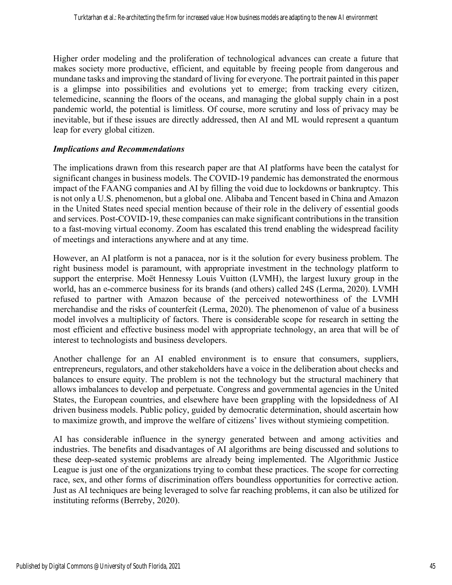Higher order modeling and the proliferation of technological advances can create a future that makes society more productive, efficient, and equitable by freeing people from dangerous and mundane tasks and improving the standard of living for everyone. The portrait painted in this paper is a glimpse into possibilities and evolutions yet to emerge; from tracking every citizen, telemedicine, scanning the floors of the oceans, and managing the global supply chain in a post pandemic world, the potential is limitless. Of course, more scrutiny and loss of privacy may be inevitable, but if these issues are directly addressed, then AI and ML would represent a quantum leap for every global citizen.

#### *Implications and Recommendations*

The implications drawn from this research paper are that AI platforms have been the catalyst for significant changes in business models. The COVID-19 pandemic has demonstrated the enormous impact of the FAANG companies and AI by filling the void due to lockdowns or bankruptcy. This is not only a U.S. phenomenon, but a global one. Alibaba and Tencent based in China and Amazon in the United States need special mention because of their role in the delivery of essential goods and services. Post-COVID-19, these companies can make significant contributions in the transition to a fast-moving virtual economy. Zoom has escalated this trend enabling the widespread facility of meetings and interactions anywhere and at any time.

However, an AI platform is not a panacea, nor is it the solution for every business problem. The right business model is paramount, with appropriate investment in the technology platform to support the enterprise. Moët Hennessy Louis Vuitton (LVMH), the largest luxury group in the world, has an e-commerce business for its brands (and others) called 24S (Lerma, 2020). LVMH refused to partner with Amazon because of the perceived noteworthiness of the LVMH merchandise and the risks of counterfeit (Lerma, 2020). The phenomenon of value of a business model involves a multiplicity of factors. There is considerable scope for research in setting the most efficient and effective business model with appropriate technology, an area that will be of interest to technologists and business developers.

Another challenge for an AI enabled environment is to ensure that consumers, suppliers, entrepreneurs, regulators, and other stakeholders have a voice in the deliberation about checks and balances to ensure equity. The problem is not the technology but the structural machinery that allows imbalances to develop and perpetuate. Congress and governmental agencies in the United States, the European countries, and elsewhere have been grappling with the lopsidedness of AI driven business models. Public policy, guided by democratic determination, should ascertain how to maximize growth, and improve the welfare of citizens' lives without stymieing competition.

AI has considerable influence in the synergy generated between and among activities and industries. The benefits and disadvantages of AI algorithms are being discussed and solutions to these deep-seated systemic problems are already being implemented. The Algorithmic Justice League is just one of the organizations trying to combat these practices. The scope for correcting race, sex, and other forms of discrimination offers boundless opportunities for corrective action. Just as AI techniques are being leveraged to solve far reaching problems, it can also be utilized for instituting reforms (Berreby, 2020).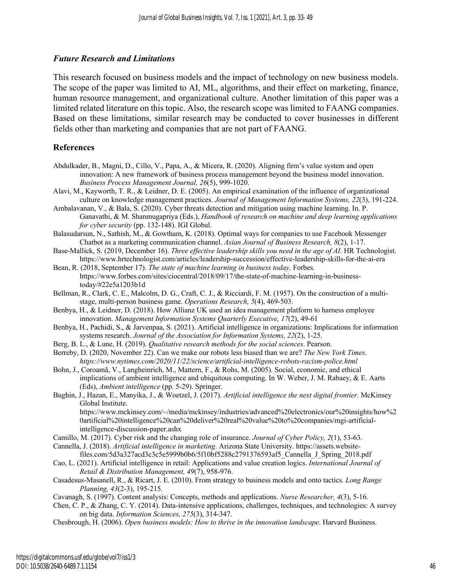#### *Future Research and Limitations*

This research focused on business models and the impact of technology on new business models. The scope of the paper was limited to AI, ML, algorithms, and their effect on marketing, finance, human resource management, and organizational culture. Another limitation of this paper was a limited related literature on this topic. Also, the research scope was limited to FAANG companies. Based on these limitations, similar research may be conducted to cover businesses in different fields other than marketing and companies that are not part of FAANG.

#### **References**

- Abdulkader, B., Magni, D., Cillo, V., Papa, A., & Micera, R. (2020). Aligning firm's value system and open innovation: A new framework of business process management beyond the business model innovation. *Business Process Management Journal, 26*(5), 999-1020.
- Alavi, M., Kayworth, T. R., & Leidner, D. E. (2005). An empirical examination of the influence of organizational culture on knowledge management practices. *Journal of Management Information Systems, 22*(3), 191-224.
- Ambalavanan, V., & Bala, S. (2020). Cyber threats detection and mitigation using machine learning. In. P. Ganavathi, & M. Shanmugapriya (Eds.), *Handbook of research on machine and deep learning applications for cyber security* (pp. 132-148). IGI Global.
- Balasudarsun, N., Sathish, M., & Gowtham, K. (2018). Optimal ways for companies to use Facebook Messenger Chatbot as a marketing communication channel. *Asian Journal of Business Research, 8*(2), 1-17.
- Base-Mallick, S. (2019, December 16). *Three effective leadership skills you need in the age of AI*. HR Technologist. https://www.hrtechnologist.com/articles/leadership-succession/effective-leadership-skills-for-the-ai-era
- Bean, R. (2018, September 17). *The state of machine learning in business today*. Forbes. https://www.forbes.com/sites/ciocentral/2018/09/17/the-state-of-machine-learning-in-businesstoday/#22e5a1203b1d
- Bellman, R., Clark, C. E., Malcolm, D. G., Craft, C. J., & Ricciardi, F. M. (1957). On the construction of a multistage, multi-person business game. *Operations Research, 5*(4), 469-503.
- Benbya, H., & Leidner, D. (2018). How Allianz UK used an idea management platform to harness employee innovation. *Management Information Systems Quarterly Executive, 17*(2), 49-61
- Benbya, H., Pachidi, S., & Jarvenpaa, S. (2021). Artificial intelligence in organizations: Implications for information systems research. *Journal of the Association for Information Systems, 22*(2), 1-25.
- Berg, B. L., & Lune, H. (2019). *Qualitative research methods for the social sciences*. Pearson.
- Berreby, D. (2020, November 22). Can we make our robots less biased than we are? *The New York Times*. *https://www.nytimes.com/2020/11/22/science/artificial-intelligence-robots-racism-police.html*
- Bohn, J., Coroamă, V., Langheinrich, M., Mattern, F., & Rohs, M. (2005). Social, economic, and ethical implications of ambient intelligence and ubiquitous computing. In W. Weber, J. M. Rabaey, & E. Aarts (Eds), *Ambient intelligence* (pp. 5-29). Springer.
- Bughin, J., Hazan, E., Manyika, J., & Woetzel, J. (2017). *Artificial intelligence the next digital frontier.* McKinsey Global Institute.
	- https://www.mckinsey.com/~/media/mckinsey/industries/advanced%20electronics/our%20insights/how%2 0artificial%20intelligence%20can%20deliver%20real%20value%20to%20companies/mgi-artificialintelligence-discussion-paper.ashx
- Camillo, M. (2017). Cyber risk and the changing role of insurance. *Journal of Cyber Policy, 2*(1), 53-63.
- Cannella, J. (2018). *Artificial intelligence in marketing*. Arizona State University. https://assets.website-
- files.com/5d3a327acd3c3c5e5999b0b6/5f10bf5288c2791376593af5\_Cannella\_J\_Spring\_2018.pdf Cao, L. (2021). Artificial intelligence in retail: Applications and value creation logics. *International Journal of Retail & Distribution Management, 49*(7), 958-976.
- Casadesus-Masanell, R., & Ricart, J. E. (2010). From strategy to business models and onto tactics*. Long Range Planning, 43*(2-3), 195-215.
- Cavanagh, S. (1997). Content analysis: Concepts, methods and applications. *Nurse Researcher, 4*(3), 5-16.

Chen, C. P., & Zhang, C. Y. (2014). Data-intensive applications, challenges, techniques, and technologies: A survey on big data. *Information Sciences, 275*(3), 314-347.

Chesbrough, H. (2006). *Open business models: How to thrive in the innovation landscape*. Harvard Business.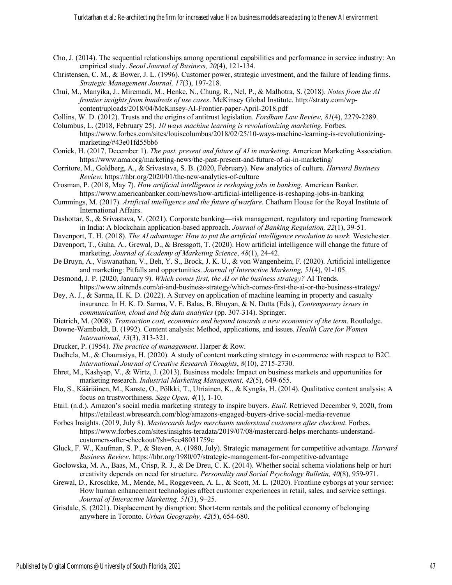- Cho, J. (2014). The sequential relationships among operational capabilities and performance in service industry: An empirical study. *Seoul Journal of Business, 20*(4), 121-134.
- Christensen, C. M., & Bower, J. L. (1996). Customer power, strategic investment, and the failure of leading firms. *Strategic Management Journal, 17*(3), 197-218.
- Chui, M., Manyika, J., Miremadi, M., Henke, N., Chung, R., Nel, P., & Malhotra, S. (2018). *Notes from the AI frontier insights from hundreds of use cases*. McKinsey Global Institute. http://straty.com/wpcontent/uploads/2018/04/McKinsey-AI-Frontier-paper-April-2018.pdf
- Collins, W. D. (2012). Trusts and the origins of antitrust legislation. *Fordham Law Review, 81*(4), 2279-2289.
- Columbus, L. (2018, February 25). *10 ways machine learning is revolutionizing marketing.* Forbes. https://www.forbes.com/sites/louiscolumbus/2018/02/25/10-ways-machine-learning-is-revolutionizingmarketing/#43e01fd55bb6
- Conick, H. (2017, December 1). *The past, present and future of AI in marketing.* American Marketing Association. https://www.ama.org/marketing-news/the-past-present-and-future-of-ai-in-marketing/
- Corritore, M., Goldberg, A., & Srivastava, S. B. (2020, February). New analytics of culture. *Harvard Business Review.* https://hbr.org/2020/01/the-new-analytics-of-culture
- Crosman, P. (2018, May 7). *How artificial intelligence is reshaping jobs in banking*. American Banker. https://www.americanbanker.com/news/how-artificial-intelligence-is-reshaping-jobs-in-banking
- Cummings, M. (2017). *Artificial intelligence and the future of warfare*. Chatham House for the Royal Institute of International Affairs.
- Dashottar, S., & Srivastava, V. (2021). Corporate banking—risk management, regulatory and reporting framework in India: A blockchain application-based approach. *Journal of Banking Regulation, 22*(1), 39-51.
- Davenport, T. H. (2018). *The AI advantage: How to put the artificial intelligence revolution to work.* Westchester.
- Davenport, T., Guha, A., Grewal, D., & Bressgott, T. (2020). How artificial intelligence will change the future of marketing. *Journal of Academy of Marketing Science*, *48*(1), 24-42.
- De Bruyn, A., Viswanathan, V., Beh, Y. S., Brock, J. K. U., & von Wangenheim, F. (2020). Artificial intelligence and marketing: Pitfalls and opportunities. *Journal of Interactive Marketing, 51*(4), 91-105.
- Desmond, J. P. (2020, January 9). *Which comes first, the AI or the business strategy?* AI Trends. https://www.aitrends.com/ai-and-business-strategy/which-comes-first-the-ai-or-the-business-strategy/
- Dey, A. J., & Sarma, H. K. D. (2022). A Survey on application of machine learning in property and casualty insurance. In H. K. D. Sarma, V. E. Balas, B. Bhuyan, & N. Dutta (Eds.), *Contemporary issues in communication, cloud and big data analytics* (pp. 307-314). Springer.
- Dietrich, M. (2008). *Transaction cost, economics and beyond towards a new economics of the term*. Routledge.
- Downe‐Wamboldt, B. (1992). Content analysis: Method, applications, and issues. *Health Care for Women International, 13*(3), 313-321.
- Drucker, P. (1954). *The practice of management*. Harper & Row.
- Dudhela, M., & Chaurasiya, H. (2020). A study of content marketing strategy in e-commerce with respect to B2C. *International Journal of Creative Research Thoughts*, *8*(10), 2715-2730.
- Ehret, M., Kashyap, V., & Wirtz, J. (2013). Business models: Impact on business markets and opportunities for marketing research. *Industrial Marketing Management, 42*(5), 649-655.
- Elo, S., Kääriäinen, M., Kanste, O., Pölkki, T., Utriainen, K., & Kyngäs, H. (2014). Qualitative content analysis: A focus on trustworthiness. *Sage Open, 4*(1), 1-10.
- Etail. (n.d.). Amazon's social media marketing strategy to inspire buyers. *Etail.* Retrieved December 9, 2020, from https://etaileast.wbresearch.com/blog/amazons-engaged-buyers-drive-social-media-revenue
- Forbes Insights. (2019, July 8). *Mastercards helps merchants understand customers after checkout*. Forbes. https://www.forbes.com/sites/insights-teradata/2019/07/08/mastercard-helps-merchants-understandcustomers-after-checkout/?sh=5ee48031759e
- Gluck, F. W., Kaufman, S. P., & Steven, A. (1980, July). Strategic management for competitive advantage. *Harvard Business Review*. https://hbr.org/1980/07/strategic-management-for-competitive-advantage
- Gocłowska, M. A., Baas, M., Crisp, R. J., & De Dreu, C. K. (2014). Whether social schema violations help or hurt creativity depends on need for structure. *Personality and Social Psychology Bulletin, 40*(8), 959-971.
- Grewal, D., Kroschke, M., Mende, M., Roggeveen, A. L., & Scott, M. L. (2020). Frontline cyborgs at your service: How human enhancement technologies affect customer experiences in retail, sales, and service settings. *Journal of Interactive Marketing, 51*(3), 9–25.
- Grisdale, S. (2021). Displacement by disruption: Short-term rentals and the political economy of belonging anywhere in Toronto. *Urban Geography, 42*(5), 654-680.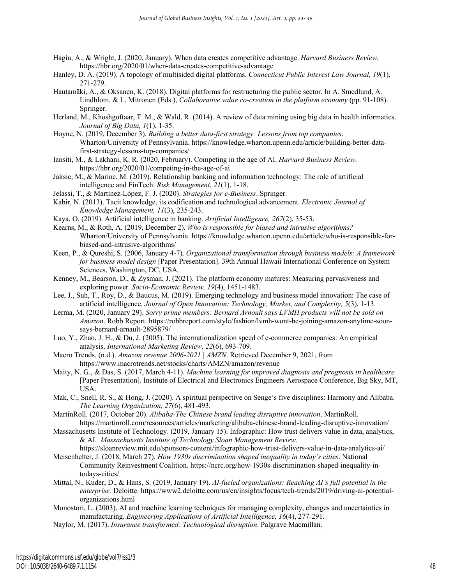- Hagiu, A., & Wright, J. (2020, January). When data creates competitive advantage. *Harvard Business Review.*  https://hbr.org/2020/01/when-data-creates-competitive-advantage
- Hanley, D. A. (2019). A topology of multisided digital platforms. *Connecticut Public Interest Law Journal, 19*(1), 271-279.
- Hautamäki, A., & Oksanen, K. (2018). Digital platforms for restructuring the public sector. In A. Smedlund, A. Lindblom, & L. Mitronen (Eds.), *Collaborative value co-creation in the platform economy* (pp. 91-108). Springer.
- Herland, M., Khoshgoftaar, T. M., & Wald, R. (2014). A review of data mining using big data in health informatics. *Journal of Big Data, 1*(1), 1-35.
- Hoyne, N. (2019, December 3). *Building a better data-first strategy: Lessons from top companies*. Wharton/University of Pennsylvania. https://knowledge.wharton.upenn.edu/article/building-better-datafirst-strategy-lessons-top-companies/
- Iansiti, M., & Lakhani, K. R. (2020, February). Competing in the age of AI. *Harvard Business Review*. https://hbr.org/2020/01/competing-in-the-age-of-ai
- Jaksic, M., & Marinc, M. (2019). Relationship banking and information technology: The role of artificial intelligence and FinTech. *Risk Management*, *21*(1), 1-18.
- Jelassi, T., & Martínez-López, F. J. (2020). *Strategies for e-Business*. Springer.
- Kabir, N. (2013). Tacit knowledge, its codification and technological advancement. *Electronic Journal of Knowledge Management, 11*(3), 235-243.
- Kaya, O. (2019). Artificial intelligence in banking. *Artificial Intelligence, 267*(2), 35-53.
- Kearns, M., & Roth, A. (2019, December 2). *Who is responsible for biased and intrusive algorithms?* Wharton/University of Pennsylvania. https://knowledge.wharton.upenn.edu/article/who-is-responsible-forbiased-and-intrusive-algorithms/
- Keen, P., & Qureshi, S. (2006, January 4-7). *Organizational transformation through business models: A framework for business model design* [Paper Presentation]. 39th Annual Hawaii International Conference on System Sciences, Washington, DC, USA.
- Kenney, M., Bearson, D., & Zysman, J. (2021). The platform economy matures: Measuring pervasiveness and exploring power. *Socio-Economic Review, 19*(4), 1451-1483.
- Lee, J., Suh, T., Roy, D., & Baucus, M. (2019). Emerging technology and business model innovation: The case of artificial intelligence. *Journal of Open Innovation: Technology, Market, and Complexity, 5*(3), 1-13.
- Lerma, M. (2020, January 29). *Sorry prime members: Bernard Arnoult says LVMH products will not be sold on Amazon*. Robb Report. https://robbreport.com/style/fashion/lvmh-wont-be-joining-amazon-anytime-soonsays-bernard-arnault-2895879/
- Luo, Y., Zhao, J. H., & Du, J. (2005). The internationalization speed of e‐commerce companies: An empirical analysis. *International Marketing Review, 22*(6), 693-709.
- Macro Trends. (n.d.). *Amazon revenue 2006-2021 | AMZN*. Retrieved December 9, 2021, from https://www.macrotrends.net/stocks/charts/AMZN/amazon/revenue
- Maity, N. G., & Das, S. (2017, March 4-11). *Machine learning for improved diagnosis and prognosis in healthcare* [Paper Presentation]. Institute of Electrical and Electronics Engineers Aerospace Conference, Big Sky, MT, USA.
- Mak, C., Snell, R. S., & Hong, J. (2020). A spiritual perspective on Senge's five disciplines: Harmony and Alibaba. *The Learning Organization, 27*(6), 481-493.
- MartinRoll. (2017, October 20). *Alibaba-The Chinese brand leading disruptive innovation*. MartinRoll. https://martinroll.com/resources/articles/marketing/alibaba-chinese-brand-leading-disruptive-innovation/
- Massachusetts Institute of Technology. (2019, January 15). Infographic: How trust delivers value in data, analytics, & AI. *Massachusetts Institute of Technology Sloan Management Review.* https://sloanreview.mit.edu/sponsors-content/infographic-how-trust-delivers-value-in-data-analytics-ai/
- Meisenhelter, J. (2018, March 27). *How 1930s discrimination shaped inequality in today's cities*. National Community Reinvestment Coalition. https://ncrc.org/how-1930s-discrimination-shaped-inequality-intodays-cities/
- Mittal, N., Kuder, D., & Hans, S. (2019, January 19). *AI-fueled organizations: Reaching AI's full potential in the enterprise.* Deloitte. https://www2.deloitte.com/us/en/insights/focus/tech-trends/2019/driving-ai-potentialorganizations.html
- Monostori, L. (2003). AI and machine learning techniques for managing complexity, changes and uncertainties in manufacturing. *Engineering Applications of Artificial Intelligence, 16*(4), 277-291.
- Naylor, M. (2017). *Insurance transformed: Technological disruption*. Palgrave Macmillan.